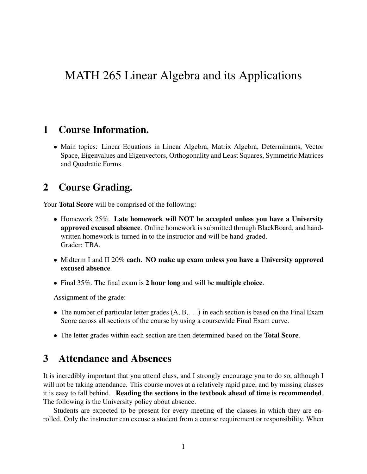# MATH 265 Linear Algebra and its Applications

#### 1 Course Information.

• Main topics: Linear Equations in Linear Algebra, Matrix Algebra, Determinants, Vector Space, Eigenvalues and Eigenvectors, Orthogonality and Least Squares, Symmetric Matrices and Quadratic Forms.

## 2 Course Grading.

Your **Total Score** will be comprised of the following:

- Homework 25%. Late homework will NOT be accepted unless you have a University approved excused absence. Online homework is submitted through BlackBoard, and handwritten homework is turned in to the instructor and will be hand-graded. Grader: TBA.
- Midterm I and II 20% each. NO make up exam unless you have a University approved excused absence.
- Final 35%. The final exam is 2 hour long and will be multiple choice.

Assignment of the grade:

- The number of particular letter grades (A, B, ...) in each section is based on the Final Exam Score across all sections of the course by using a coursewide Final Exam curve.
- The letter grades within each section are then determined based on the **Total Score**.

# 3 Attendance and Absences

It is incredibly important that you attend class, and I strongly encourage you to do so, although I will not be taking attendance. This course moves at a relatively rapid pace, and by missing classes it is easy to fall behind. Reading the sections in the textbook ahead of time is recommended. The following is the University policy about absence.

Students are expected to be present for every meeting of the classes in which they are enrolled. Only the instructor can excuse a student from a course requirement or responsibility. When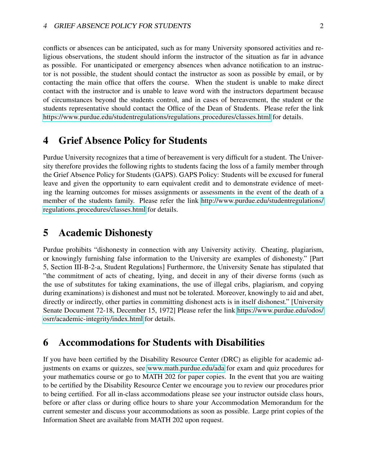conflicts or absences can be anticipated, such as for many University sponsored activities and religious observations, the student should inform the instructor of the situation as far in advance as possible. For unanticipated or emergency absences when advance notification to an instructor is not possible, the student should contact the instructor as soon as possible by email, or by contacting the main office that offers the course. When the student is unable to make direct contact with the instructor and is unable to leave word with the instructors department because of circumstances beyond the students control, and in cases of bereavement, the student or the students representative should contact the Office of the Dean of Students. Please refer the link [https://www.purdue.edu/studentregulations/regulations](https://www.purdue.edu/studentregulations/regulations_procedures/classes.html) procedures/classes.html for details.

### 4 Grief Absence Policy for Students

Purdue University recognizes that a time of bereavement is very difficult for a student. The University therefore provides the following rights to students facing the loss of a family member through the Grief Absence Policy for Students (GAPS). GAPS Policy: Students will be excused for funeral leave and given the opportunity to earn equivalent credit and to demonstrate evidence of meeting the learning outcomes for misses assignments or assessments in the event of the death of a member of the students family. Please refer the link [http://www.purdue.edu/studentregulations/](http://www.purdue.edu/studentregulations/regulations_procedures/classes.html) regulations [procedures/classes.html](http://www.purdue.edu/studentregulations/regulations_procedures/classes.html) for details.

#### 5 Academic Dishonesty

Purdue prohibits "dishonesty in connection with any University activity. Cheating, plagiarism, or knowingly furnishing false information to the University are examples of dishonesty." [Part 5, Section III-B-2-a, Student Regulations] Furthermore, the University Senate has stipulated that "the commitment of acts of cheating, lying, and deceit in any of their diverse forms (such as the use of substitutes for taking examinations, the use of illegal cribs, plagiarism, and copying during examinations) is dishonest and must not be tolerated. Moreover, knowingly to aid and abet, directly or indirectly, other parties in committing dishonest acts is in itself dishonest." [University Senate Document 72-18, December 15, 1972] Please refer the link [https://www.purdue.edu/odos/](https://www.purdue.edu/odos/osrr/academic-integrity/index.html) [osrr/academic-integrity/index.html](https://www.purdue.edu/odos/osrr/academic-integrity/index.html) for details.

#### 6 Accommodations for Students with Disabilities

If you have been certified by the Disability Resource Center (DRC) as eligible for academic adjustments on exams or quizzes, see<www.math.purdue.edu/ada> for exam and quiz procedures for your mathematics course or go to MATH 202 for paper copies. In the event that you are waiting to be certified by the Disability Resource Center we encourage you to review our procedures prior to being certified. For all in-class accommodations please see your instructor outside class hours, before or after class or during office hours to share your Accommodation Memorandum for the current semester and discuss your accommodations as soon as possible. Large print copies of the Information Sheet are available from MATH 202 upon request.